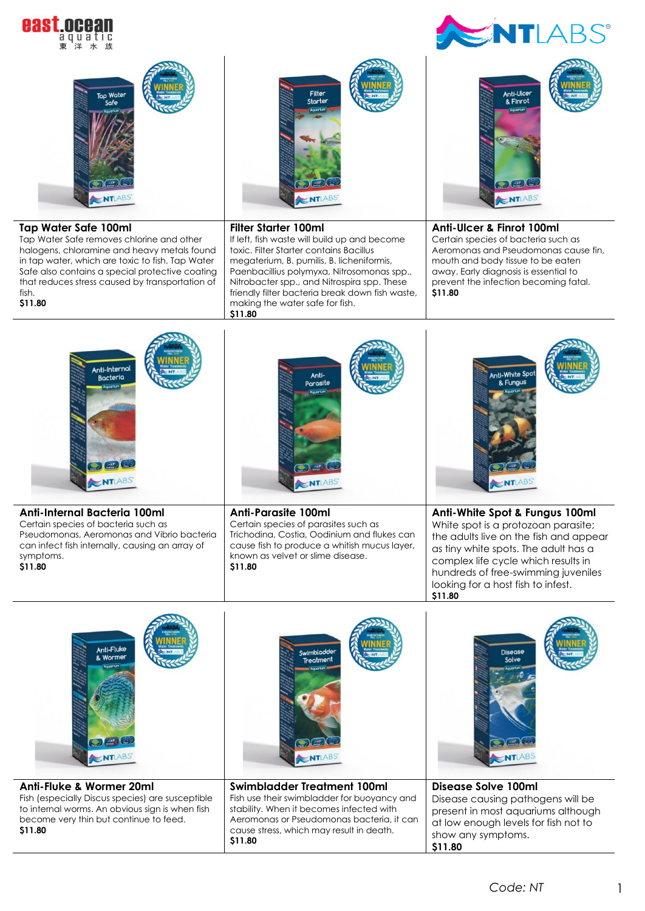



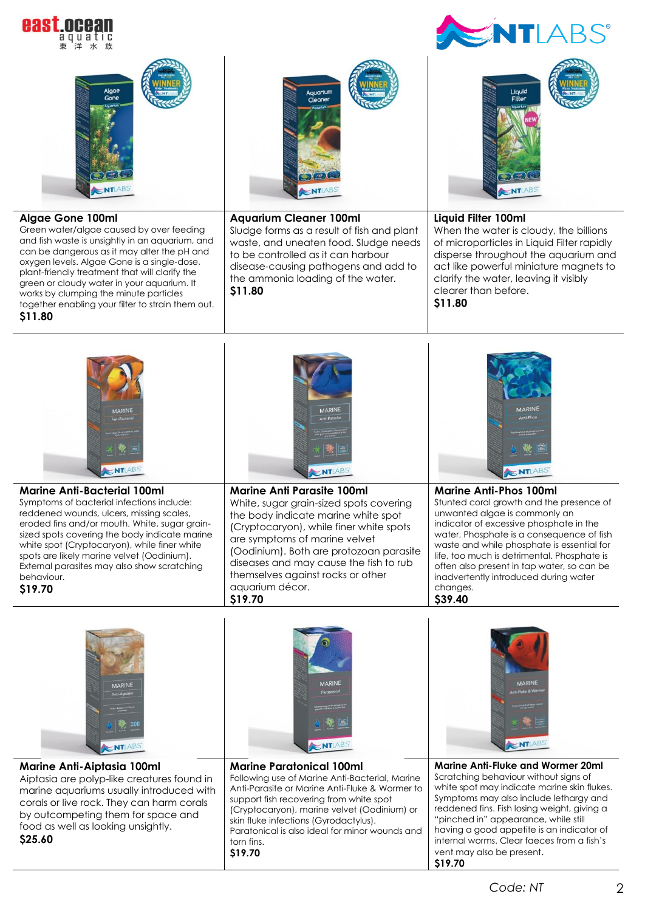







## **Marine Anti-Aiptasia 100ml**

Aiptasia are polyp-like creatures found in marine aquariums usually introduced with corals or live rock. They can harm corals by outcompeting them for space and food as well as looking unsightly. **\$25.60**



## **Marine Paratonical 100ml**

Following use of Marine Anti-Bacterial, Marine Anti-Parasite or Marine Anti-Fluke & Wormer to support fish recovering from white spot (Cryptocaryon), marine velvet (Oodinium) or skin fluke infections (Gyrodactylus). Paratonical is also ideal for minor wounds and torn fins.

**\$19.70**



 $\overline{\phantom{0}}$ **Marine Anti-Fluke and Wormer 20ml**  Scratching behaviour without signs of white spot may indicate marine skin flukes. Symptoms may also include lethargy and reddened fins. Fish losing weight, giving a "pinched in" appearance, while still having a good appetite is an indicator of internal worms. Clear faeces from a fish's vent may also be present. **\$19.70**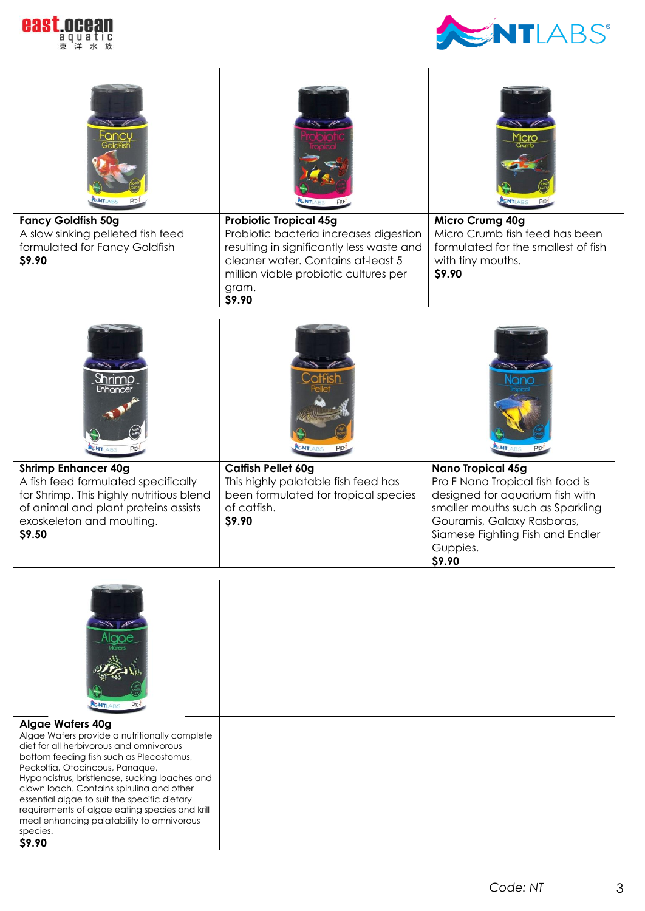



| ancu<br><b>Fancy Goldfish 50g</b><br>A slow sinking pelleted fish feed                                                                                                                                                                                                                                                                                                                                                                                                 | <b>Probiotic Tropical 45g</b><br>Probiotic bacteria increases digestion                                                                     | <b>MICro</b><br><b>ENTLABS</b><br>Micro Crumg 40g<br>Micro Crumb fish feed has been                                                                         |
|------------------------------------------------------------------------------------------------------------------------------------------------------------------------------------------------------------------------------------------------------------------------------------------------------------------------------------------------------------------------------------------------------------------------------------------------------------------------|---------------------------------------------------------------------------------------------------------------------------------------------|-------------------------------------------------------------------------------------------------------------------------------------------------------------|
| formulated for Fancy Goldfish<br>\$9.90                                                                                                                                                                                                                                                                                                                                                                                                                                | resulting in significantly less waste and<br>cleaner water. Contains at-least 5<br>million viable probiotic cultures per<br>gram.<br>\$9.90 | formulated for the smallest of fish<br>with tiny mouths.<br>\$9.90                                                                                          |
| Shrimp<br>Enhance<br>ENT                                                                                                                                                                                                                                                                                                                                                                                                                                               | <b>ENTLA</b>                                                                                                                                | Nano                                                                                                                                                        |
| <b>Shrimp Enhancer 40g</b>                                                                                                                                                                                                                                                                                                                                                                                                                                             | <b>Catfish Pellet 60g</b><br>This highly palatable fish feed has                                                                            | <b>Nano Tropical 45g</b><br>Pro F Nano Tropical fish food is                                                                                                |
| A fish feed formulated specifically<br>for Shrimp. This highly nutritious blend<br>of animal and plant proteins assists<br>exoskeleton and moulting.<br>\$9.50                                                                                                                                                                                                                                                                                                         | been formulated for tropical species<br>of catfish.<br>\$9.90                                                                               | designed for aquarium fish with<br>smaller mouths such as Sparkling<br>Gouramis, Galaxy Rasboras,<br>Siamese Fighting Fish and Endler<br>Guppies.<br>\$9.90 |
| AIQQE<br><b>ENT</b> ABS                                                                                                                                                                                                                                                                                                                                                                                                                                                |                                                                                                                                             |                                                                                                                                                             |
| <b>Algae Wafers 40g</b><br>Algae Wafers provide a nutritionally complete<br>diet for all herbivorous and omnivorous<br>bottom feeding fish such as Plecostomus,<br>Peckoltia, Otocincous, Panaque,<br>Hypancistrus, bristlenose, sucking loaches and<br>clown loach. Contains spirulina and other<br>essential algae to suit the specific dietary<br>requirements of algae eating species and krill<br>meal enhancing palatability to omnivorous<br>species.<br>\$9.90 |                                                                                                                                             |                                                                                                                                                             |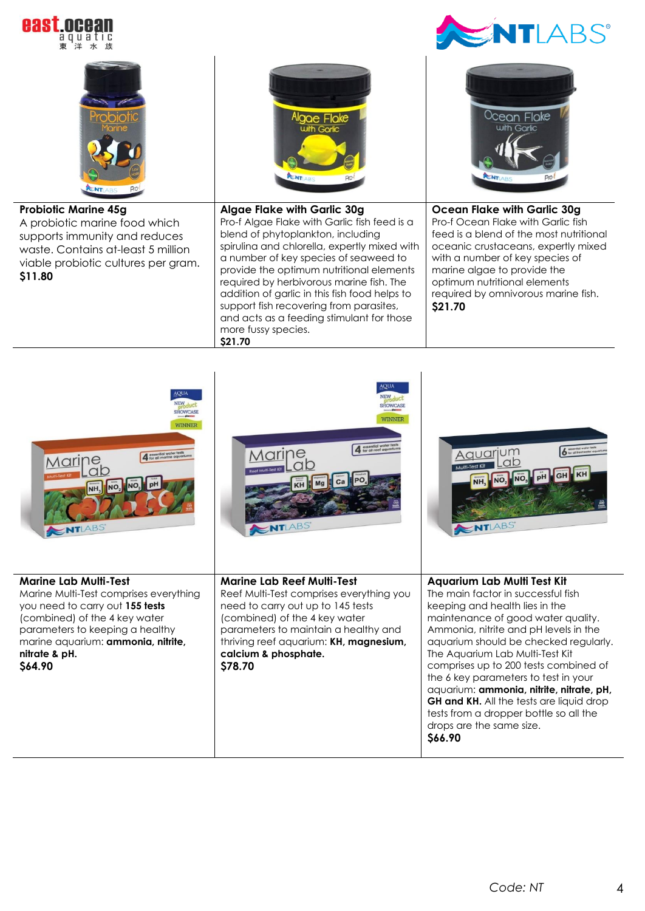



more fussy species.

**\$21.70**

| <b>AQUA</b><br><b>HOWCAS</b><br>WINNER<br>essential water tests<br>for all marine aquariu<br>Marine,<br>NO <sub>3</sub><br>NO.<br>$\leq$ NTLABS                                                                                                 | AOUA<br>NEW<br><b>SHOWCAS</b><br>WINNER<br>essential water test<br>Marine,<br>ab<br><b>ITIABS</b>                                                                                                                                                                        | Aquarjum<br>ab<br>Multi-Test Kit<br>ENTLABS                                                                                                                                                                                                                                                                                                                                                                                                                                                                                                  |
|-------------------------------------------------------------------------------------------------------------------------------------------------------------------------------------------------------------------------------------------------|--------------------------------------------------------------------------------------------------------------------------------------------------------------------------------------------------------------------------------------------------------------------------|----------------------------------------------------------------------------------------------------------------------------------------------------------------------------------------------------------------------------------------------------------------------------------------------------------------------------------------------------------------------------------------------------------------------------------------------------------------------------------------------------------------------------------------------|
| Marine Lab Multi-Test<br>Marine Multi-Test comprises everything<br>you need to carry out 155 tests<br>(combined) of the 4 key water<br>parameters to keeping a healthy<br>marine aquarium: <b>ammonia, nitrite,</b><br>nitrate & pH.<br>\$64.90 | <b>Marine Lab Reef Multi-Test</b><br>Reef Multi-Test comprises everything you<br>need to carry out up to 145 tests<br>(combined) of the 4 key water<br>parameters to maintain a healthy and<br>thriving reef aquarium: KH, magnesium,<br>calcium & phosphate.<br>\$78.70 | <b>Aquarium Lab Multi Test Kit</b><br>The main factor in successful fish<br>keeping and health lies in the<br>maintenance of good water quality.<br>Ammonia, nitrite and pH levels in the<br>aquarium should be checked regularly.<br>The Aquarium Lab Multi-Test Kit<br>comprises up to 200 tests combined of<br>the 6 key parameters to test in your<br>aquarium: ammonia, nitrite, nitrate, pH,<br><b>GH and KH.</b> All the tests are liquid drop<br>tests from a dropper bottle so all the<br>drops are the same size.<br><b>S66.90</b> |

 $\overline{a}$